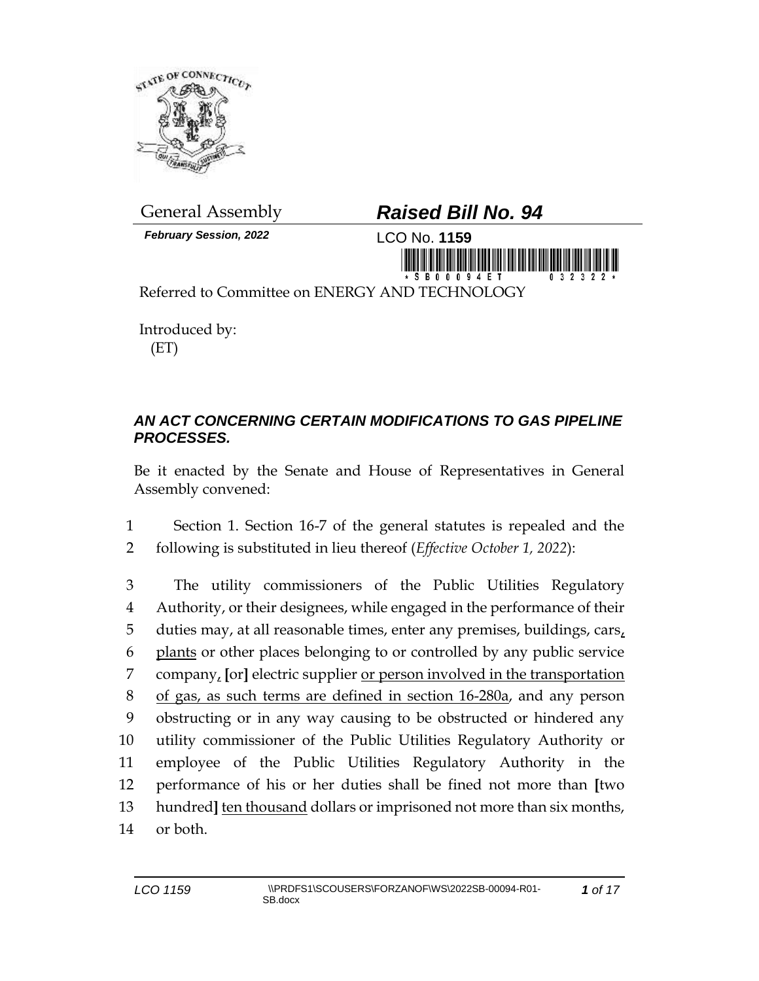

*February Session, 2022* LCO No. **1159**

## General Assembly *Raised Bill No. 94*



Referred to Committee on ENERGY AND TECHNOLOGY

Introduced by: (ET)

## *AN ACT CONCERNING CERTAIN MODIFICATIONS TO GAS PIPELINE PROCESSES.*

Be it enacted by the Senate and House of Representatives in General Assembly convened:

1 Section 1. Section 16-7 of the general statutes is repealed and the 2 following is substituted in lieu thereof (*Effective October 1, 2022*):

 The utility commissioners of the Public Utilities Regulatory Authority, or their designees, while engaged in the performance of their duties may, at all reasonable times, enter any premises, buildings, cars, plants or other places belonging to or controlled by any public service company, **[**or**]** electric supplier or person involved in the transportation of gas, as such terms are defined in section 16-280a, and any person obstructing or in any way causing to be obstructed or hindered any utility commissioner of the Public Utilities Regulatory Authority or employee of the Public Utilities Regulatory Authority in the performance of his or her duties shall be fined not more than **[**two hundred**]** ten thousand dollars or imprisoned not more than six months, 14 or both.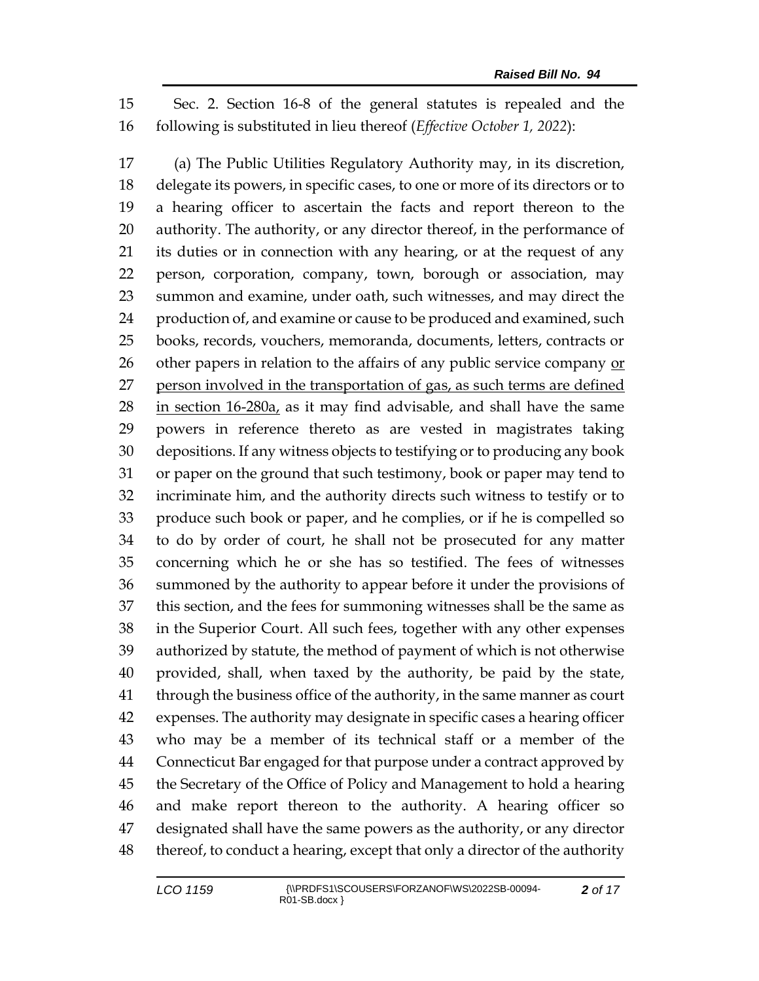Sec. 2. Section 16-8 of the general statutes is repealed and the following is substituted in lieu thereof (*Effective October 1, 2022*):

 (a) The Public Utilities Regulatory Authority may, in its discretion, delegate its powers, in specific cases, to one or more of its directors or to a hearing officer to ascertain the facts and report thereon to the authority. The authority, or any director thereof, in the performance of its duties or in connection with any hearing, or at the request of any person, corporation, company, town, borough or association, may summon and examine, under oath, such witnesses, and may direct the 24 production of, and examine or cause to be produced and examined, such books, records, vouchers, memoranda, documents, letters, contracts or other papers in relation to the affairs of any public service company or 27 person involved in the transportation of gas, as such terms are defined in section  $16-280a$ , as it may find advisable, and shall have the same powers in reference thereto as are vested in magistrates taking depositions. If any witness objects to testifying or to producing any book or paper on the ground that such testimony, book or paper may tend to incriminate him, and the authority directs such witness to testify or to produce such book or paper, and he complies, or if he is compelled so to do by order of court, he shall not be prosecuted for any matter concerning which he or she has so testified. The fees of witnesses summoned by the authority to appear before it under the provisions of this section, and the fees for summoning witnesses shall be the same as in the Superior Court. All such fees, together with any other expenses authorized by statute, the method of payment of which is not otherwise provided, shall, when taxed by the authority, be paid by the state, through the business office of the authority, in the same manner as court expenses. The authority may designate in specific cases a hearing officer who may be a member of its technical staff or a member of the Connecticut Bar engaged for that purpose under a contract approved by the Secretary of the Office of Policy and Management to hold a hearing and make report thereon to the authority. A hearing officer so designated shall have the same powers as the authority, or any director thereof, to conduct a hearing, except that only a director of the authority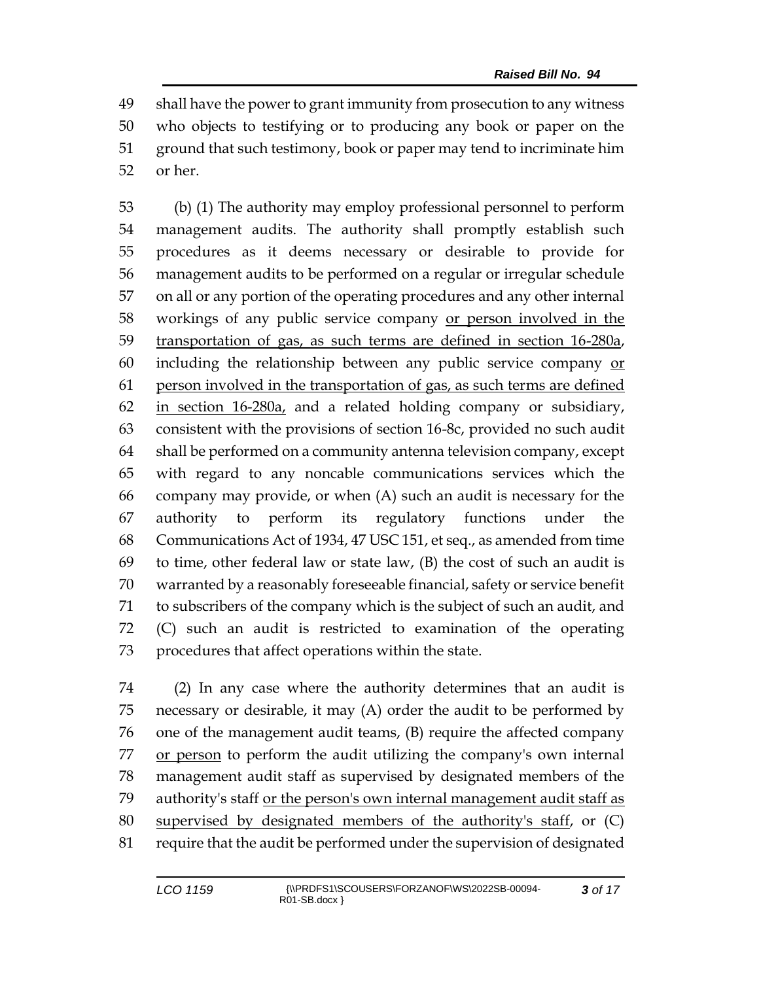shall have the power to grant immunity from prosecution to any witness who objects to testifying or to producing any book or paper on the ground that such testimony, book or paper may tend to incriminate him or her.

 (b) (1) The authority may employ professional personnel to perform management audits. The authority shall promptly establish such procedures as it deems necessary or desirable to provide for management audits to be performed on a regular or irregular schedule on all or any portion of the operating procedures and any other internal workings of any public service company or person involved in the transportation of gas, as such terms are defined in section 16-280a, including the relationship between any public service company or person involved in the transportation of gas, as such terms are defined in section 16-280a, and a related holding company or subsidiary, consistent with the provisions of section 16-8c, provided no such audit shall be performed on a community antenna television company, except with regard to any noncable communications services which the company may provide, or when (A) such an audit is necessary for the authority to perform its regulatory functions under the Communications Act of 1934, 47 USC 151, et seq., as amended from time 69 to time, other federal law or state law,  $(B)$  the cost of such an audit is warranted by a reasonably foreseeable financial, safety or service benefit to subscribers of the company which is the subject of such an audit, and (C) such an audit is restricted to examination of the operating procedures that affect operations within the state.

 (2) In any case where the authority determines that an audit is necessary or desirable, it may (A) order the audit to be performed by one of the management audit teams, (B) require the affected company 77 or person to perform the audit utilizing the company's own internal management audit staff as supervised by designated members of the authority's staff or the person's own internal management audit staff as 80 supervised by designated members of the authority's staff, or (C) require that the audit be performed under the supervision of designated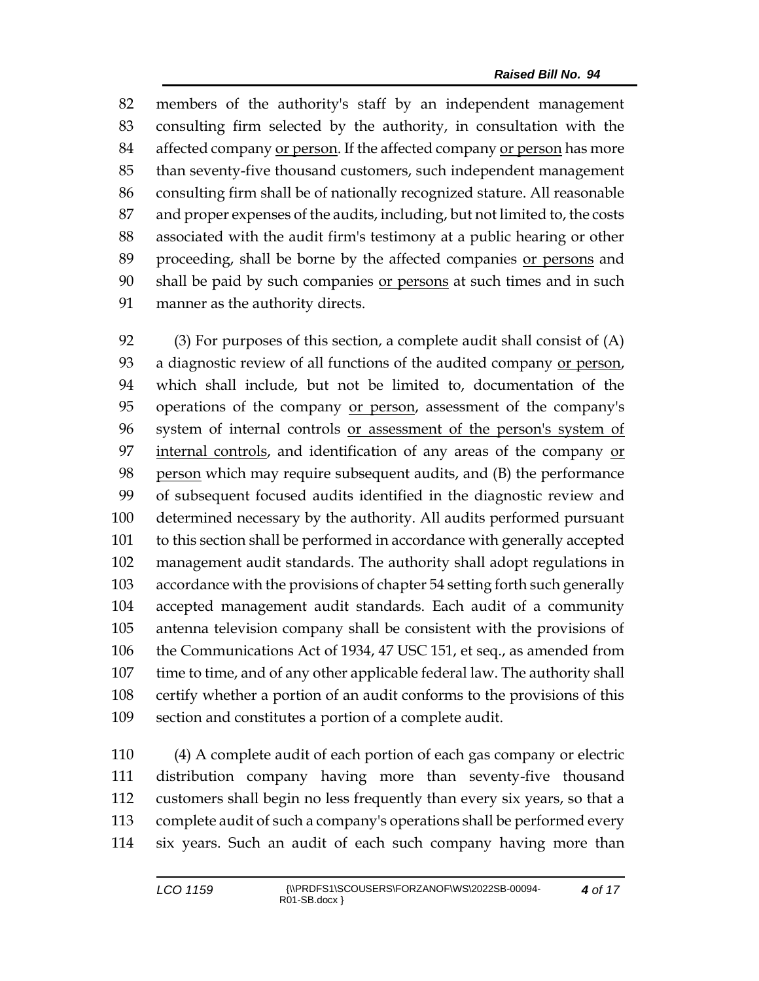members of the authority's staff by an independent management consulting firm selected by the authority, in consultation with the affected company or person. If the affected company or person has more than seventy-five thousand customers, such independent management consulting firm shall be of nationally recognized stature. All reasonable and proper expenses of the audits, including, but not limited to, the costs associated with the audit firm's testimony at a public hearing or other proceeding, shall be borne by the affected companies or persons and shall be paid by such companies or persons at such times and in such manner as the authority directs.

 (3) For purposes of this section, a complete audit shall consist of (A) a diagnostic review of all functions of the audited company or person, which shall include, but not be limited to, documentation of the operations of the company or person, assessment of the company's system of internal controls or assessment of the person's system of internal controls, and identification of any areas of the company or person which may require subsequent audits, and (B) the performance of subsequent focused audits identified in the diagnostic review and determined necessary by the authority. All audits performed pursuant to this section shall be performed in accordance with generally accepted management audit standards. The authority shall adopt regulations in accordance with the provisions of chapter 54 setting forth such generally accepted management audit standards. Each audit of a community antenna television company shall be consistent with the provisions of the Communications Act of 1934, 47 USC 151, et seq., as amended from time to time, and of any other applicable federal law. The authority shall certify whether a portion of an audit conforms to the provisions of this section and constitutes a portion of a complete audit.

 (4) A complete audit of each portion of each gas company or electric distribution company having more than seventy-five thousand customers shall begin no less frequently than every six years, so that a complete audit of such a company's operations shall be performed every six years. Such an audit of each such company having more than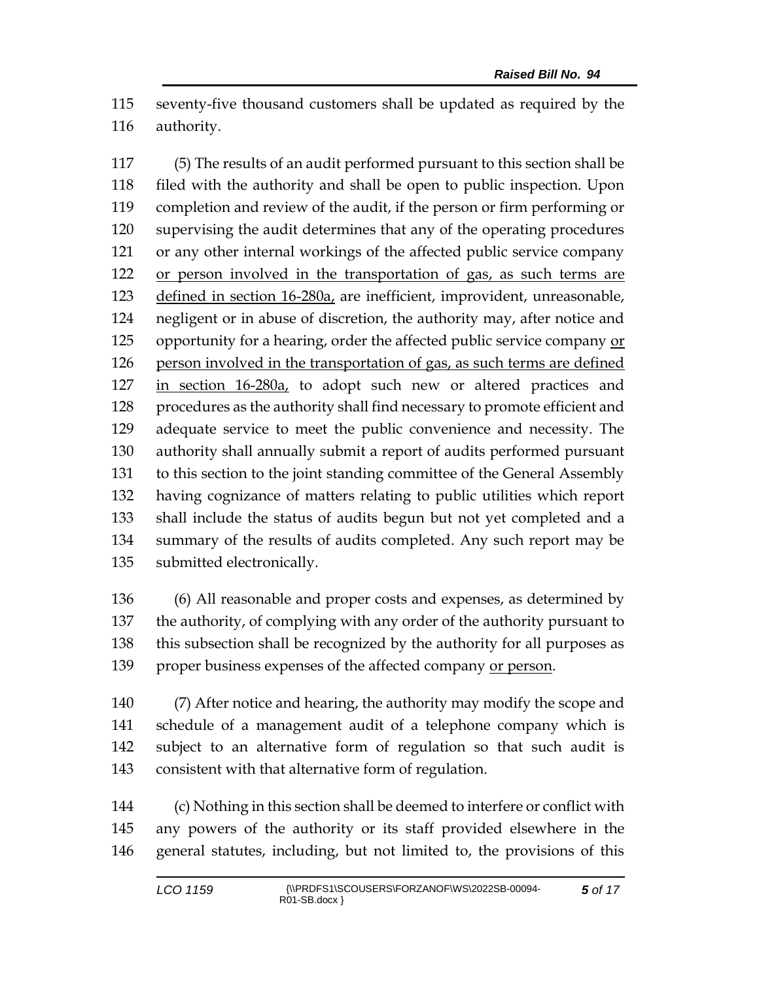seventy-five thousand customers shall be updated as required by the authority.

 (5) The results of an audit performed pursuant to this section shall be filed with the authority and shall be open to public inspection. Upon completion and review of the audit, if the person or firm performing or supervising the audit determines that any of the operating procedures or any other internal workings of the affected public service company or person involved in the transportation of gas, as such terms are 123 defined in section 16-280a, are inefficient, improvident, unreasonable, negligent or in abuse of discretion, the authority may, after notice and opportunity for a hearing, order the affected public service company or person involved in the transportation of gas, as such terms are defined in section 16-280a, to adopt such new or altered practices and procedures as the authority shall find necessary to promote efficient and adequate service to meet the public convenience and necessity. The authority shall annually submit a report of audits performed pursuant to this section to the joint standing committee of the General Assembly having cognizance of matters relating to public utilities which report shall include the status of audits begun but not yet completed and a summary of the results of audits completed. Any such report may be submitted electronically.

 (6) All reasonable and proper costs and expenses, as determined by the authority, of complying with any order of the authority pursuant to this subsection shall be recognized by the authority for all purposes as 139 proper business expenses of the affected company or person.

 (7) After notice and hearing, the authority may modify the scope and schedule of a management audit of a telephone company which is subject to an alternative form of regulation so that such audit is consistent with that alternative form of regulation.

 (c) Nothing in this section shall be deemed to interfere or conflict with any powers of the authority or its staff provided elsewhere in the general statutes, including, but not limited to, the provisions of this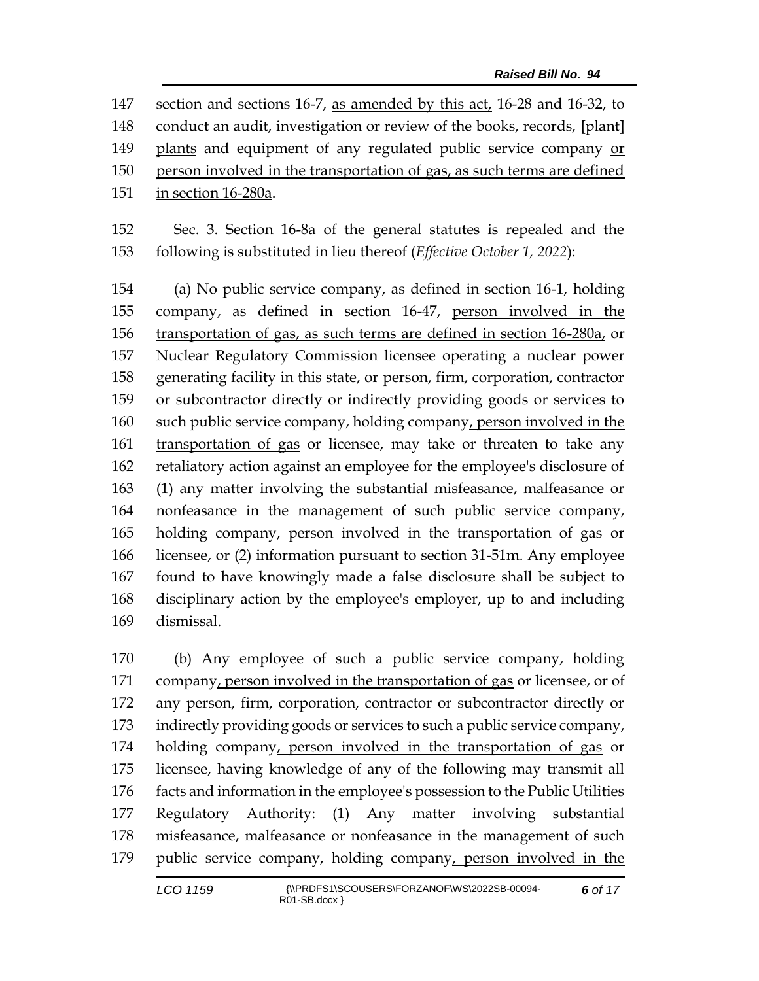section and sections 16-7, as amended by this act, 16-28 and 16-32, to conduct an audit, investigation or review of the books, records, **[**plant**]** plants and equipment of any regulated public service company or person involved in the transportation of gas, as such terms are defined in section 16-280a.

 Sec. 3. Section 16-8a of the general statutes is repealed and the following is substituted in lieu thereof (*Effective October 1, 2022*):

 (a) No public service company, as defined in section 16-1, holding company, as defined in section 16-47, person involved in the transportation of gas, as such terms are defined in section 16-280a, or Nuclear Regulatory Commission licensee operating a nuclear power generating facility in this state, or person, firm, corporation, contractor or subcontractor directly or indirectly providing goods or services to 160 such public service company, holding company, person involved in the transportation of gas or licensee, may take or threaten to take any retaliatory action against an employee for the employee's disclosure of (1) any matter involving the substantial misfeasance, malfeasance or nonfeasance in the management of such public service company, holding company, person involved in the transportation of gas or licensee, or (2) information pursuant to section 31-51m. Any employee found to have knowingly made a false disclosure shall be subject to disciplinary action by the employee's employer, up to and including dismissal.

 (b) Any employee of such a public service company, holding company, person involved in the transportation of gas or licensee, or of any person, firm, corporation, contractor or subcontractor directly or indirectly providing goods or services to such a public service company, 174 holding company, person involved in the transportation of gas or licensee, having knowledge of any of the following may transmit all facts and information in the employee's possession to the Public Utilities Regulatory Authority: (1) Any matter involving substantial misfeasance, malfeasance or nonfeasance in the management of such public service company, holding company, person involved in the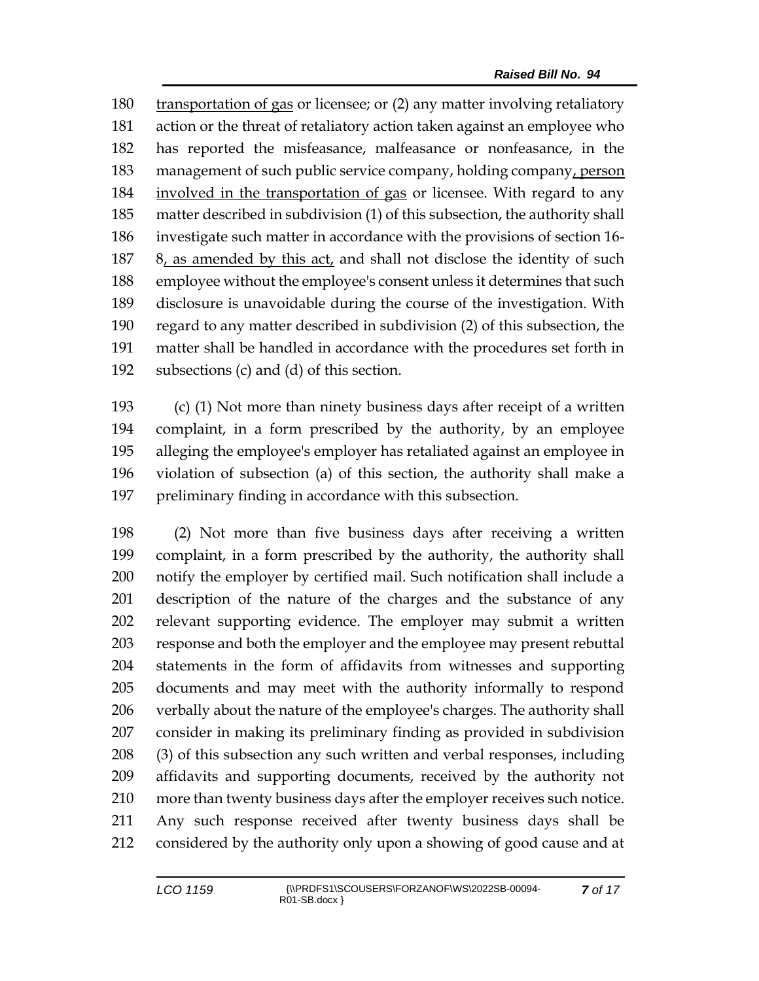transportation of gas or licensee; or (2) any matter involving retaliatory action or the threat of retaliatory action taken against an employee who has reported the misfeasance, malfeasance or nonfeasance, in the management of such public service company, holding company, person 184 involved in the transportation of gas or licensee. With regard to any matter described in subdivision (1) of this subsection, the authority shall investigate such matter in accordance with the provisions of section 16- 8, as amended by this act, and shall not disclose the identity of such employee without the employee's consent unless it determines that such disclosure is unavoidable during the course of the investigation. With regard to any matter described in subdivision (2) of this subsection, the matter shall be handled in accordance with the procedures set forth in subsections (c) and (d) of this section.

 (c) (1) Not more than ninety business days after receipt of a written complaint, in a form prescribed by the authority, by an employee alleging the employee's employer has retaliated against an employee in violation of subsection (a) of this section, the authority shall make a preliminary finding in accordance with this subsection.

 (2) Not more than five business days after receiving a written complaint, in a form prescribed by the authority, the authority shall notify the employer by certified mail. Such notification shall include a description of the nature of the charges and the substance of any relevant supporting evidence. The employer may submit a written response and both the employer and the employee may present rebuttal statements in the form of affidavits from witnesses and supporting documents and may meet with the authority informally to respond verbally about the nature of the employee's charges. The authority shall consider in making its preliminary finding as provided in subdivision (3) of this subsection any such written and verbal responses, including affidavits and supporting documents, received by the authority not more than twenty business days after the employer receives such notice. Any such response received after twenty business days shall be considered by the authority only upon a showing of good cause and at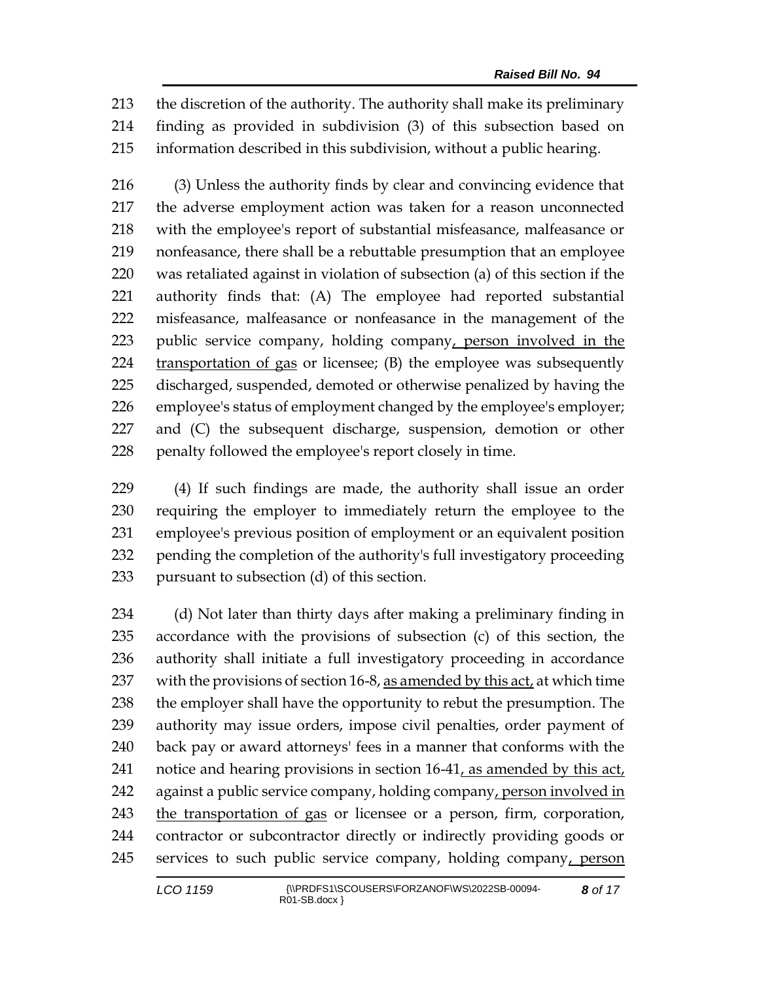the discretion of the authority. The authority shall make its preliminary finding as provided in subdivision (3) of this subsection based on information described in this subdivision, without a public hearing.

 (3) Unless the authority finds by clear and convincing evidence that the adverse employment action was taken for a reason unconnected with the employee's report of substantial misfeasance, malfeasance or nonfeasance, there shall be a rebuttable presumption that an employee was retaliated against in violation of subsection (a) of this section if the authority finds that: (A) The employee had reported substantial misfeasance, malfeasance or nonfeasance in the management of the 223 public service company, holding company, person involved in the 224 transportation of gas or licensee; (B) the employee was subsequently discharged, suspended, demoted or otherwise penalized by having the employee's status of employment changed by the employee's employer; and (C) the subsequent discharge, suspension, demotion or other penalty followed the employee's report closely in time.

 (4) If such findings are made, the authority shall issue an order requiring the employer to immediately return the employee to the employee's previous position of employment or an equivalent position pending the completion of the authority's full investigatory proceeding pursuant to subsection (d) of this section.

 (d) Not later than thirty days after making a preliminary finding in accordance with the provisions of subsection (c) of this section, the authority shall initiate a full investigatory proceeding in accordance with the provisions of section 16-8, as amended by this act, at which time 238 the employer shall have the opportunity to rebut the presumption. The authority may issue orders, impose civil penalties, order payment of back pay or award attorneys' fees in a manner that conforms with the 241 notice and hearing provisions in section 16-41, as amended by this act, against a public service company, holding company, person involved in the transportation of gas or licensee or a person, firm, corporation, contractor or subcontractor directly or indirectly providing goods or services to such public service company, holding company, person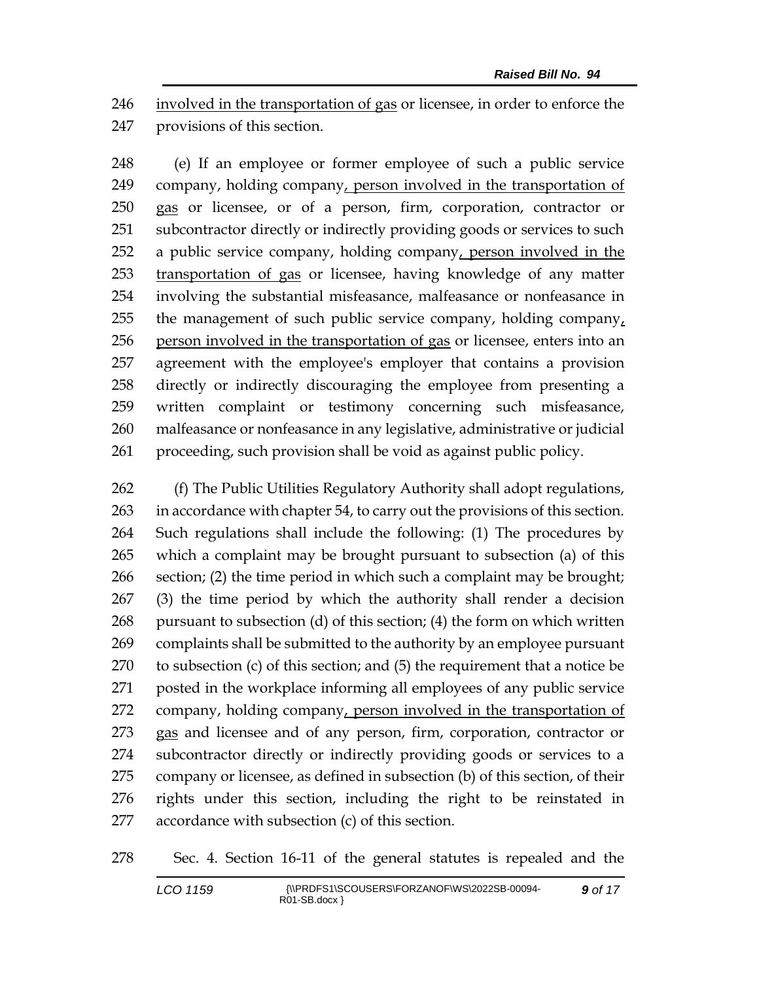involved in the transportation of gas or licensee, in order to enforce the provisions of this section.

 (e) If an employee or former employee of such a public service company, holding company, person involved in the transportation of 250 gas or licensee, or of a person, firm, corporation, contractor or subcontractor directly or indirectly providing goods or services to such a public service company, holding company, person involved in the transportation of gas or licensee, having knowledge of any matter involving the substantial misfeasance, malfeasance or nonfeasance in 255 the management of such public service company, holding company, person involved in the transportation of gas or licensee, enters into an agreement with the employee's employer that contains a provision directly or indirectly discouraging the employee from presenting a written complaint or testimony concerning such misfeasance, malfeasance or nonfeasance in any legislative, administrative or judicial proceeding, such provision shall be void as against public policy.

 (f) The Public Utilities Regulatory Authority shall adopt regulations, in accordance with chapter 54, to carry out the provisions of this section. Such regulations shall include the following: (1) The procedures by which a complaint may be brought pursuant to subsection (a) of this section; (2) the time period in which such a complaint may be brought; (3) the time period by which the authority shall render a decision pursuant to subsection (d) of this section; (4) the form on which written complaints shall be submitted to the authority by an employee pursuant to subsection (c) of this section; and (5) the requirement that a notice be posted in the workplace informing all employees of any public service company, holding company, person involved in the transportation of 273 gas and licensee and of any person, firm, corporation, contractor or subcontractor directly or indirectly providing goods or services to a company or licensee, as defined in subsection (b) of this section, of their rights under this section, including the right to be reinstated in accordance with subsection (c) of this section.

Sec. 4. Section 16-11 of the general statutes is repealed and the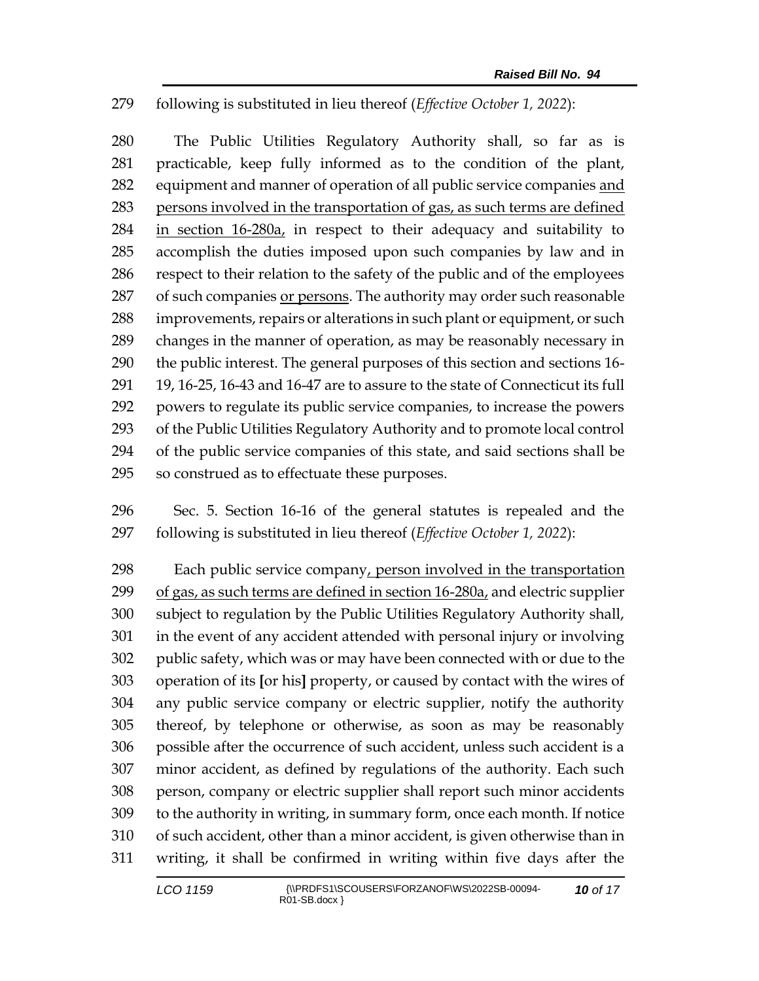## following is substituted in lieu thereof (*Effective October 1, 2022*):

 The Public Utilities Regulatory Authority shall, so far as is practicable, keep fully informed as to the condition of the plant, equipment and manner of operation of all public service companies and persons involved in the transportation of gas, as such terms are defined 284 in section 16-280a, in respect to their adequacy and suitability to accomplish the duties imposed upon such companies by law and in respect to their relation to the safety of the public and of the employees of such companies or persons. The authority may order such reasonable improvements, repairs or alterations in such plant or equipment, or such changes in the manner of operation, as may be reasonably necessary in the public interest. The general purposes of this section and sections 16- 19, 16-25, 16-43 and 16-47 are to assure to the state of Connecticut its full powers to regulate its public service companies, to increase the powers of the Public Utilities Regulatory Authority and to promote local control of the public service companies of this state, and said sections shall be so construed as to effectuate these purposes.

 Sec. 5. Section 16-16 of the general statutes is repealed and the following is substituted in lieu thereof (*Effective October 1, 2022*):

298 Each public service company, person involved in the transportation 299 of gas, as such terms are defined in section  $16-280a_1$  and electric supplier subject to regulation by the Public Utilities Regulatory Authority shall, in the event of any accident attended with personal injury or involving public safety, which was or may have been connected with or due to the operation of its **[**or his**]** property, or caused by contact with the wires of any public service company or electric supplier, notify the authority thereof, by telephone or otherwise, as soon as may be reasonably possible after the occurrence of such accident, unless such accident is a minor accident, as defined by regulations of the authority. Each such person, company or electric supplier shall report such minor accidents to the authority in writing, in summary form, once each month. If notice of such accident, other than a minor accident, is given otherwise than in writing, it shall be confirmed in writing within five days after the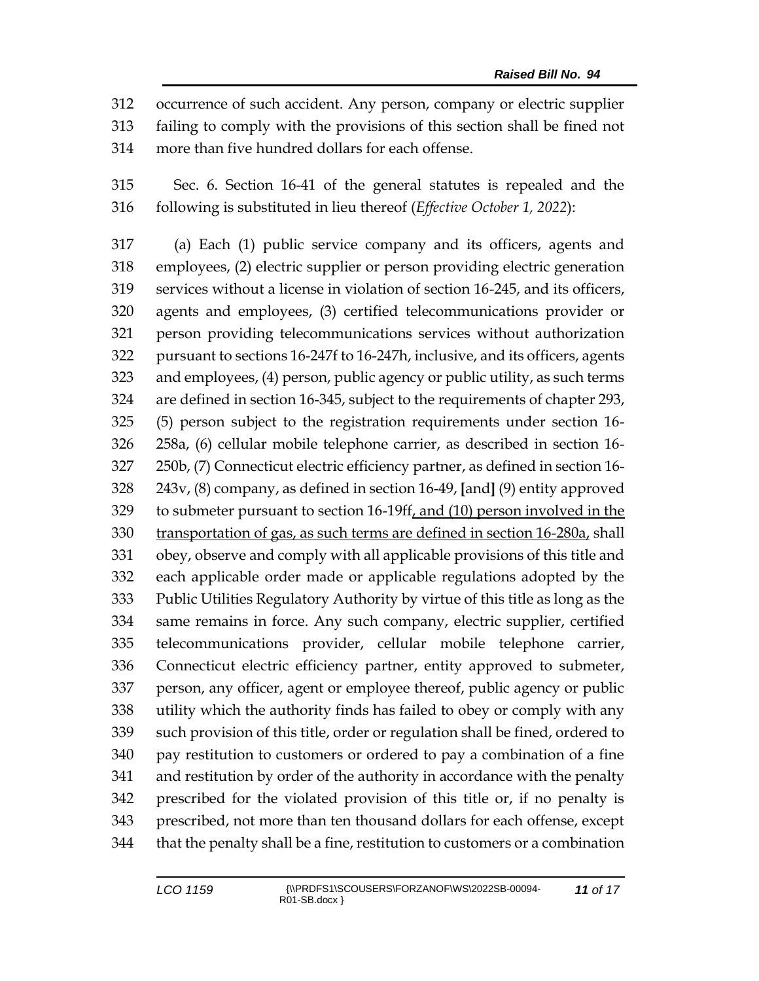occurrence of such accident. Any person, company or electric supplier failing to comply with the provisions of this section shall be fined not more than five hundred dollars for each offense.

 Sec. 6. Section 16-41 of the general statutes is repealed and the following is substituted in lieu thereof (*Effective October 1, 2022*):

 (a) Each (1) public service company and its officers, agents and employees, (2) electric supplier or person providing electric generation services without a license in violation of section 16-245, and its officers, agents and employees, (3) certified telecommunications provider or person providing telecommunications services without authorization pursuant to sections 16-247f to 16-247h, inclusive, and its officers, agents and employees, (4) person, public agency or public utility, as such terms are defined in section 16-345, subject to the requirements of chapter 293, (5) person subject to the registration requirements under section 16- 258a, (6) cellular mobile telephone carrier, as described in section 16- 250b, (7) Connecticut electric efficiency partner, as defined in section 16- 243v, (8) company, as defined in section 16-49, **[**and**]** (9) entity approved to submeter pursuant to section 16-19ff, and (10) person involved in the transportation of gas, as such terms are defined in section 16-280a, shall obey, observe and comply with all applicable provisions of this title and each applicable order made or applicable regulations adopted by the Public Utilities Regulatory Authority by virtue of this title as long as the same remains in force. Any such company, electric supplier, certified telecommunications provider, cellular mobile telephone carrier, Connecticut electric efficiency partner, entity approved to submeter, person, any officer, agent or employee thereof, public agency or public utility which the authority finds has failed to obey or comply with any such provision of this title, order or regulation shall be fined, ordered to pay restitution to customers or ordered to pay a combination of a fine and restitution by order of the authority in accordance with the penalty prescribed for the violated provision of this title or, if no penalty is prescribed, not more than ten thousand dollars for each offense, except that the penalty shall be a fine, restitution to customers or a combination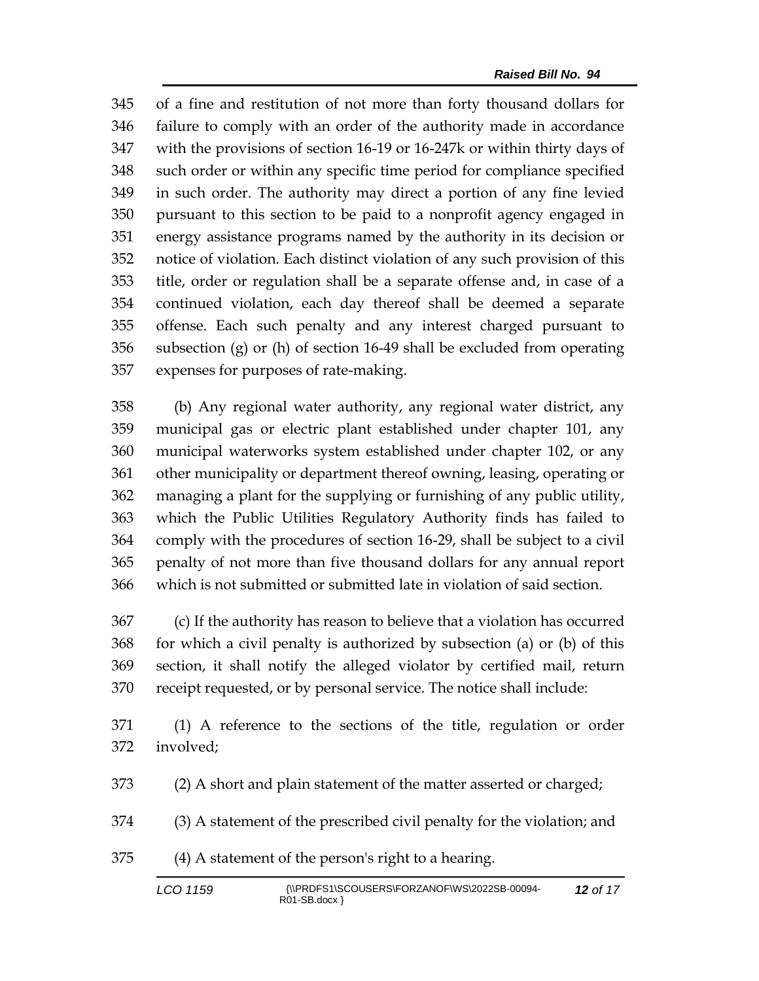of a fine and restitution of not more than forty thousand dollars for failure to comply with an order of the authority made in accordance with the provisions of section 16-19 or 16-247k or within thirty days of such order or within any specific time period for compliance specified in such order. The authority may direct a portion of any fine levied pursuant to this section to be paid to a nonprofit agency engaged in energy assistance programs named by the authority in its decision or notice of violation. Each distinct violation of any such provision of this title, order or regulation shall be a separate offense and, in case of a continued violation, each day thereof shall be deemed a separate offense. Each such penalty and any interest charged pursuant to subsection (g) or (h) of section 16-49 shall be excluded from operating expenses for purposes of rate-making.

 (b) Any regional water authority, any regional water district, any municipal gas or electric plant established under chapter 101, any municipal waterworks system established under chapter 102, or any other municipality or department thereof owning, leasing, operating or managing a plant for the supplying or furnishing of any public utility, which the Public Utilities Regulatory Authority finds has failed to comply with the procedures of section 16-29, shall be subject to a civil penalty of not more than five thousand dollars for any annual report which is not submitted or submitted late in violation of said section.

 (c) If the authority has reason to believe that a violation has occurred for which a civil penalty is authorized by subsection (a) or (b) of this section, it shall notify the alleged violator by certified mail, return receipt requested, or by personal service. The notice shall include:

 (1) A reference to the sections of the title, regulation or order involved;

(2) A short and plain statement of the matter asserted or charged;

(3) A statement of the prescribed civil penalty for the violation; and

(4) A statement of the person's right to a hearing.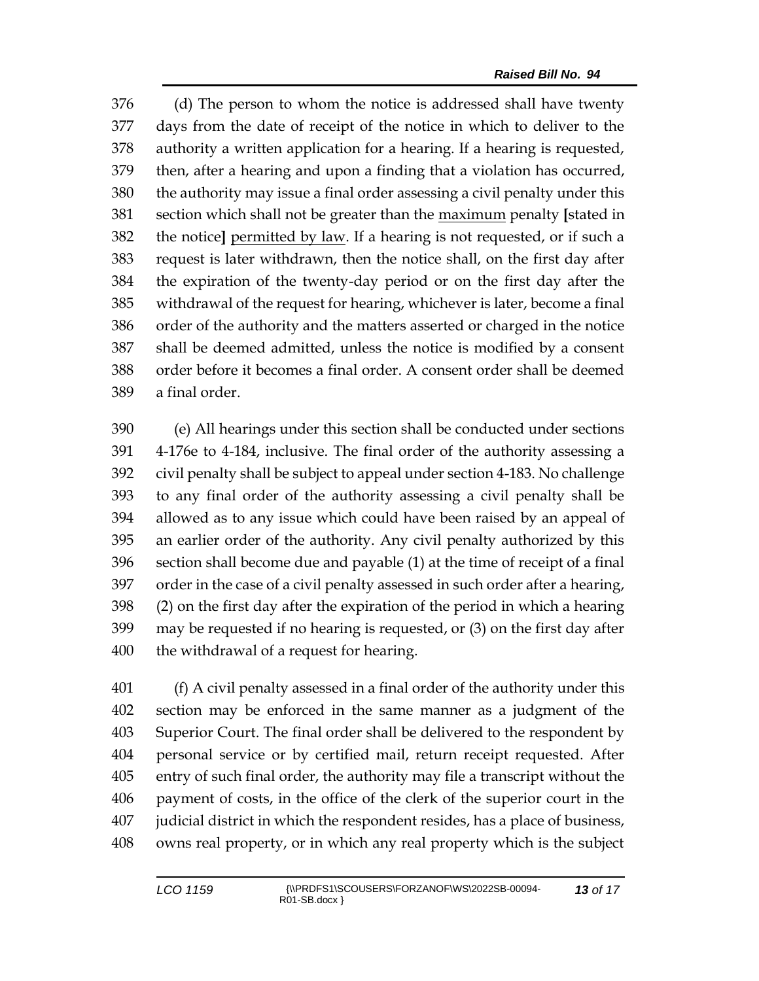(d) The person to whom the notice is addressed shall have twenty days from the date of receipt of the notice in which to deliver to the authority a written application for a hearing. If a hearing is requested, then, after a hearing and upon a finding that a violation has occurred, the authority may issue a final order assessing a civil penalty under this section which shall not be greater than the maximum penalty **[**stated in the notice**]** permitted by law. If a hearing is not requested, or if such a request is later withdrawn, then the notice shall, on the first day after the expiration of the twenty-day period or on the first day after the withdrawal of the request for hearing, whichever is later, become a final order of the authority and the matters asserted or charged in the notice shall be deemed admitted, unless the notice is modified by a consent order before it becomes a final order. A consent order shall be deemed a final order.

 (e) All hearings under this section shall be conducted under sections 4-176e to 4-184, inclusive. The final order of the authority assessing a civil penalty shall be subject to appeal under section 4-183. No challenge to any final order of the authority assessing a civil penalty shall be allowed as to any issue which could have been raised by an appeal of an earlier order of the authority. Any civil penalty authorized by this section shall become due and payable (1) at the time of receipt of a final order in the case of a civil penalty assessed in such order after a hearing, (2) on the first day after the expiration of the period in which a hearing may be requested if no hearing is requested, or (3) on the first day after the withdrawal of a request for hearing.

 (f) A civil penalty assessed in a final order of the authority under this section may be enforced in the same manner as a judgment of the Superior Court. The final order shall be delivered to the respondent by personal service or by certified mail, return receipt requested. After entry of such final order, the authority may file a transcript without the payment of costs, in the office of the clerk of the superior court in the judicial district in which the respondent resides, has a place of business, owns real property, or in which any real property which is the subject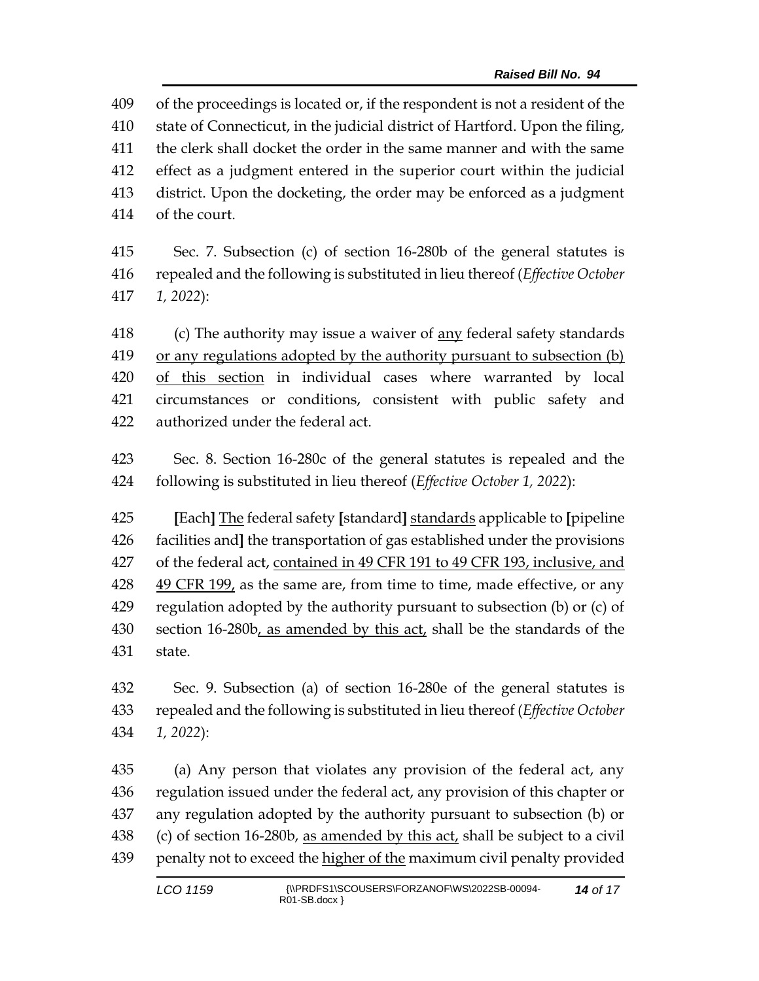of the proceedings is located or, if the respondent is not a resident of the state of Connecticut, in the judicial district of Hartford. Upon the filing, the clerk shall docket the order in the same manner and with the same effect as a judgment entered in the superior court within the judicial district. Upon the docketing, the order may be enforced as a judgment of the court.

 Sec. 7. Subsection (c) of section 16-280b of the general statutes is repealed and the following is substituted in lieu thereof (*Effective October 1, 2022*):

 (c) The authority may issue a waiver of any federal safety standards or any regulations adopted by the authority pursuant to subsection (b) of this section in individual cases where warranted by local circumstances or conditions, consistent with public safety and authorized under the federal act.

 Sec. 8. Section 16-280c of the general statutes is repealed and the following is substituted in lieu thereof (*Effective October 1, 2022*):

 **[**Each**]** The federal safety **[**standard**]** standards applicable to **[**pipeline facilities and**]** the transportation of gas established under the provisions of the federal act, contained in 49 CFR 191 to 49 CFR 193, inclusive, and  $49$  CFR  $199<sub>t</sub>$  as the same are, from time to time, made effective, or any regulation adopted by the authority pursuant to subsection (b) or (c) of section 16-280b, as amended by this act, shall be the standards of the state.

 Sec. 9. Subsection (a) of section 16-280e of the general statutes is repealed and the following is substituted in lieu thereof (*Effective October 1, 2022*):

 (a) Any person that violates any provision of the federal act, any regulation issued under the federal act, any provision of this chapter or any regulation adopted by the authority pursuant to subsection (b) or 438 (c) of section 16-280b, as amended by this act, shall be subject to a civil 439 penalty not to exceed the higher of the maximum civil penalty provided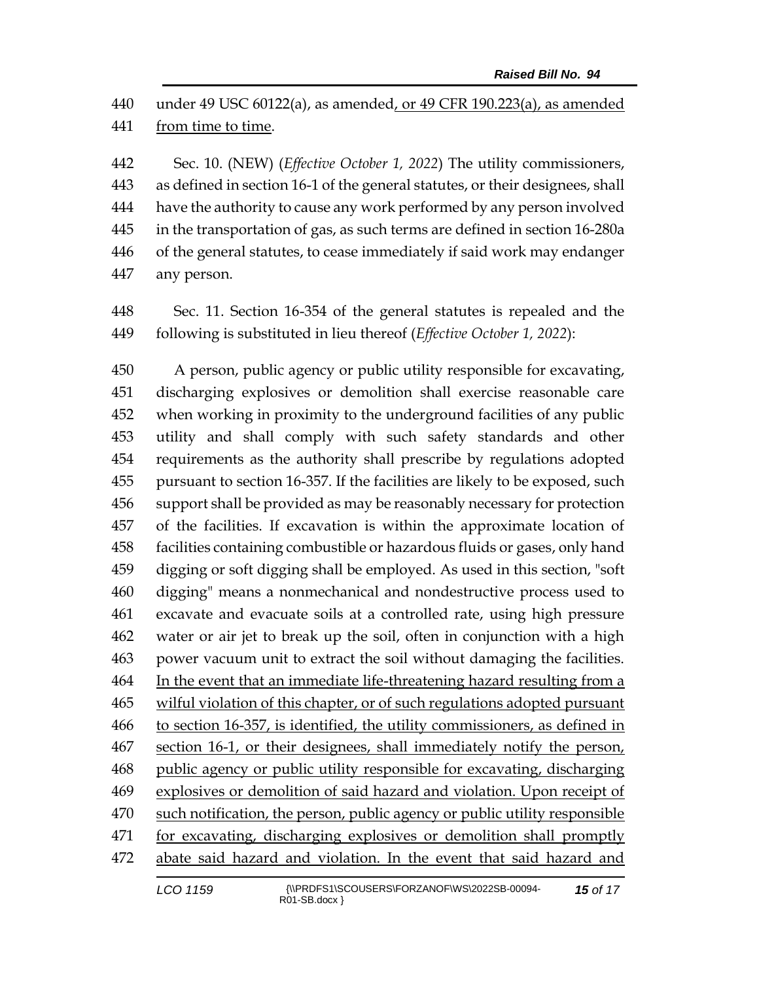under 49 USC 60122(a), as amended, or 49 CFR 190.223(a), as amended from time to time.

 Sec. 10. (NEW) (*Effective October 1, 2022*) The utility commissioners, as defined in section 16-1 of the general statutes, or their designees, shall have the authority to cause any work performed by any person involved in the transportation of gas, as such terms are defined in section 16-280a of the general statutes, to cease immediately if said work may endanger any person.

 Sec. 11. Section 16-354 of the general statutes is repealed and the following is substituted in lieu thereof (*Effective October 1, 2022*):

 A person, public agency or public utility responsible for excavating, discharging explosives or demolition shall exercise reasonable care when working in proximity to the underground facilities of any public utility and shall comply with such safety standards and other requirements as the authority shall prescribe by regulations adopted pursuant to section 16-357. If the facilities are likely to be exposed, such support shall be provided as may be reasonably necessary for protection of the facilities. If excavation is within the approximate location of facilities containing combustible or hazardous fluids or gases, only hand digging or soft digging shall be employed. As used in this section, "soft digging" means a nonmechanical and nondestructive process used to excavate and evacuate soils at a controlled rate, using high pressure water or air jet to break up the soil, often in conjunction with a high power vacuum unit to extract the soil without damaging the facilities. In the event that an immediate life-threatening hazard resulting from a wilful violation of this chapter, or of such regulations adopted pursuant to section 16-357, is identified, the utility commissioners, as defined in 467 section 16-1, or their designees, shall immediately notify the person, public agency or public utility responsible for excavating, discharging explosives or demolition of said hazard and violation. Upon receipt of such notification, the person, public agency or public utility responsible for excavating, discharging explosives or demolition shall promptly abate said hazard and violation. In the event that said hazard and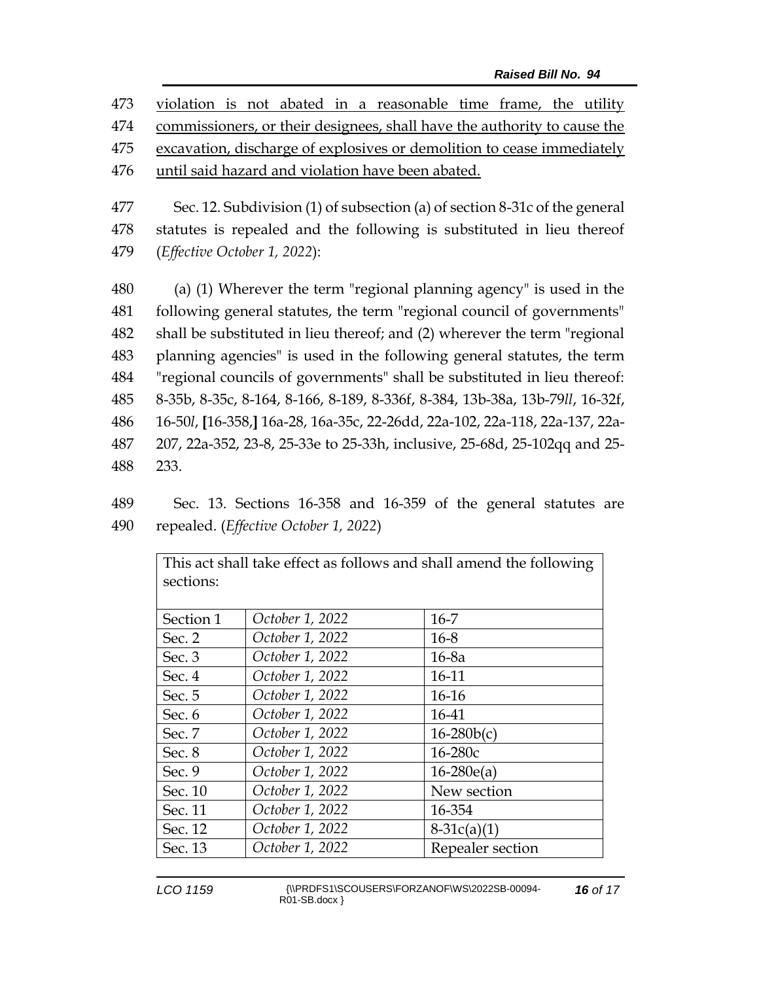violation is not abated in a reasonable time frame, the utility commissioners, or their designees, shall have the authority to cause the excavation, discharge of explosives or demolition to cease immediately until said hazard and violation have been abated.

477 Sec. 12. Subdivision (1) of subsection (a) of section 8-31c of the general 478 statutes is repealed and the following is substituted in lieu thereof 479 (*Effective October 1, 2022*):

 (a) (1) Wherever the term "regional planning agency" is used in the following general statutes, the term "regional council of governments" shall be substituted in lieu thereof; and (2) wherever the term "regional planning agencies" is used in the following general statutes, the term "regional councils of governments" shall be substituted in lieu thereof: 8-35b, 8-35c, 8-164, 8-166, 8-189, 8-336f, 8-384, 13b-38a, 13b-79*ll*, 16-32f, 16-50*l*, **[**16-358,**]** 16a-28, 16a-35c, 22-26dd, 22a-102, 22a-118, 22a-137, 22a- 207, 22a-352, 23-8, 25-33e to 25-33h, inclusive, 25-68d, 25-102qq and 25- 488 233.

489 Sec. 13. Sections 16-358 and 16-359 of the general statutes are 490 repealed. (*Effective October 1, 2022*)

| sections: |                 |                  |
|-----------|-----------------|------------------|
|           |                 |                  |
| Section 1 | October 1, 2022 | $16 - 7$         |
| Sec. 2    | October 1, 2022 | $16 - 8$         |
| Sec. $3$  | October 1, 2022 | $16-8a$          |
| Sec. 4    | October 1, 2022 | 16-11            |
| Sec. 5    | October 1, 2022 | $16-16$          |
| Sec. 6    | October 1, 2022 | 16-41            |
| Sec. 7    | October 1, 2022 | $16 - 280b(c)$   |
| Sec. $8$  | October 1, 2022 | $16 - 280c$      |
| Sec. 9    | October 1, 2022 | $16-280e(a)$     |
| Sec. 10   | October 1, 2022 | New section      |
| Sec. 11   | October 1, 2022 | 16-354           |
| Sec. 12   | October 1, 2022 | $8-31c(a)(1)$    |
| Sec. 13   | October 1, 2022 | Repealer section |

This act shall take effect as follows and shall amend the following